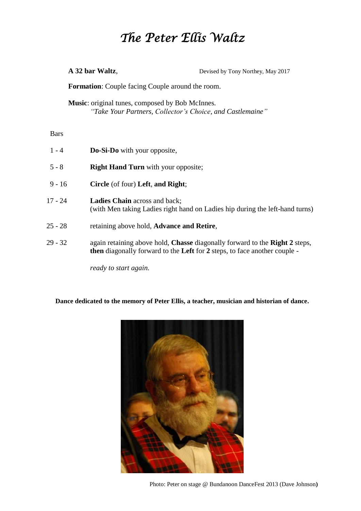## *The Peter Ellis Waltz*

**A 32 bar Waltz**, Devised by Tony Northey, May 2017

**Formation**: Couple facing Couple around the room.

**Music**: original tunes, composed by Bob McInnes. *"Take Your Partners, Collector's Choice, and Castlemaine"* 

Bars

1 - 4 **Do-Si-Do** with your opposite, 5 - 8 **Right Hand Turn** with your opposite; 9 - 16 **Circle** (of four) **Left**, **and Right**; 17 - 24 **Ladies Chain** across and back; (with Men taking Ladies right hand on Ladies hip during the left-hand turns) 25 - 28 retaining above hold, **Advance and Retire**, 29 - 32 again retaining above hold, **Chasse** diagonally forward to the **Right 2** steps, **then** diagonally forward to the **Left** for **2** steps, to face another couple -

*ready to start again.*

## **Dance dedicated to the memory of Peter Ellis, a teacher, musician and historian of dance.**



Photo: Peter on stage @ Bundanoon DanceFest 2013 (Dave Johnson**)**